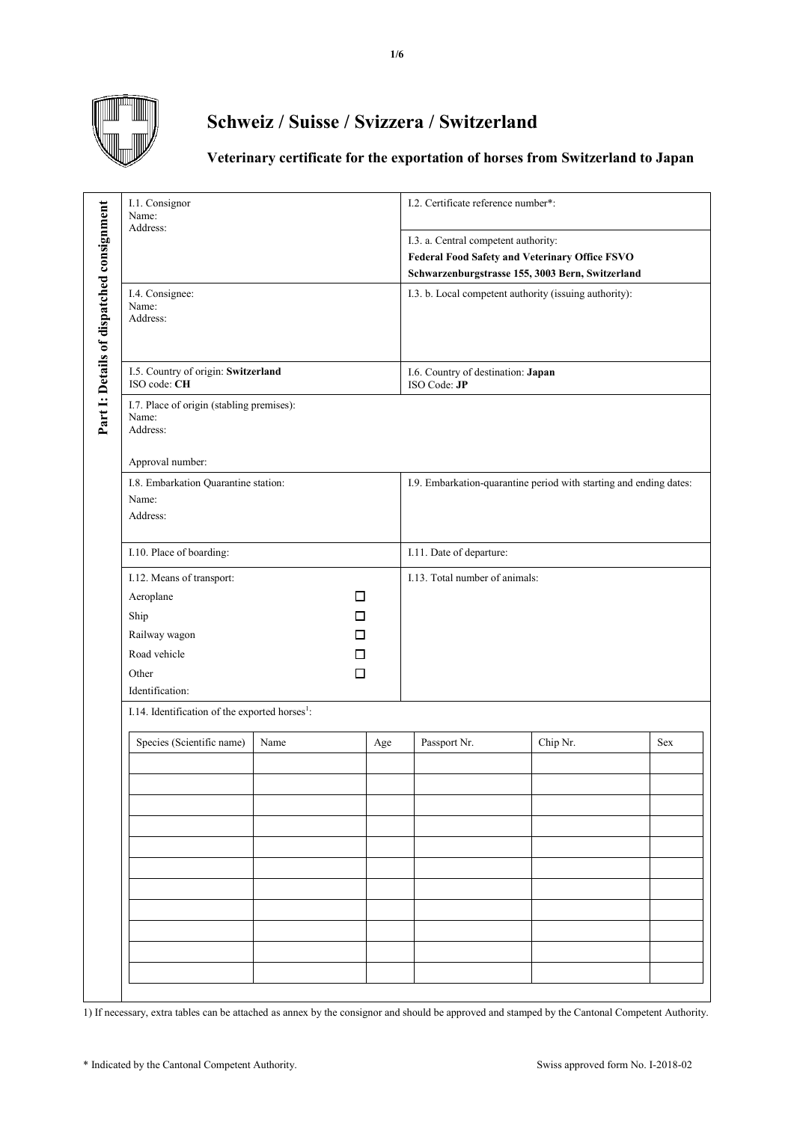

## **Schweiz / Suisse / Svizzera / Switzerland**

## **Veterinary certificate for the exportation of horses from Switzerland to Japan**

|                                           | I.1. Consignor<br>Name:<br>Address:                            |      |                                                                    | I.2. Certificate reference number*:                                                                                                               |          |     |  |
|-------------------------------------------|----------------------------------------------------------------|------|--------------------------------------------------------------------|---------------------------------------------------------------------------------------------------------------------------------------------------|----------|-----|--|
|                                           |                                                                |      |                                                                    | I.3. a. Central competent authority:<br><b>Federal Food Safety and Veterinary Office FSVO</b><br>Schwarzenburgstrasse 155, 3003 Bern, Switzerland |          |     |  |
| Part 1: Details of dispatched consignment | I.4. Consignee:<br>Name:<br>Address:                           |      |                                                                    | I.3. b. Local competent authority (issuing authority):                                                                                            |          |     |  |
|                                           | I.5. Country of origin: Switzerland<br>ISO code: CH            |      |                                                                    | I.6. Country of destination: Japan<br>ISO Code: JP                                                                                                |          |     |  |
|                                           | I.7. Place of origin (stabling premises):<br>Name:<br>Address: |      |                                                                    |                                                                                                                                                   |          |     |  |
|                                           | Approval number:                                               |      |                                                                    |                                                                                                                                                   |          |     |  |
|                                           | I.8. Embarkation Quarantine station:<br>Name:<br>Address:      |      | I.9. Embarkation-quarantine period with starting and ending dates: |                                                                                                                                                   |          |     |  |
|                                           | I.10. Place of boarding:                                       |      |                                                                    | I.11. Date of departure:                                                                                                                          |          |     |  |
|                                           | I.12. Means of transport:                                      |      |                                                                    | I.13. Total number of animals:                                                                                                                    |          |     |  |
|                                           | Aeroplane                                                      | □    |                                                                    |                                                                                                                                                   |          |     |  |
|                                           | Ship                                                           | □    |                                                                    |                                                                                                                                                   |          |     |  |
|                                           | Railway wagon                                                  | П    |                                                                    |                                                                                                                                                   |          |     |  |
|                                           | Road vehicle                                                   | □    |                                                                    |                                                                                                                                                   |          |     |  |
|                                           | Other                                                          | □    |                                                                    |                                                                                                                                                   |          |     |  |
|                                           | Identification:                                                |      |                                                                    |                                                                                                                                                   |          |     |  |
|                                           | I.14. Identification of the exported horses <sup>1</sup> :     |      |                                                                    |                                                                                                                                                   |          |     |  |
|                                           | Species (Scientific name)                                      | Name | Age                                                                | Passport Nr.                                                                                                                                      | Chip Nr. | Sex |  |
|                                           |                                                                |      |                                                                    |                                                                                                                                                   |          |     |  |
|                                           |                                                                |      |                                                                    |                                                                                                                                                   |          |     |  |
|                                           |                                                                |      |                                                                    |                                                                                                                                                   |          |     |  |
|                                           |                                                                |      |                                                                    |                                                                                                                                                   |          |     |  |
|                                           |                                                                |      |                                                                    |                                                                                                                                                   |          |     |  |
|                                           |                                                                |      |                                                                    |                                                                                                                                                   |          |     |  |
|                                           |                                                                |      |                                                                    |                                                                                                                                                   |          |     |  |
|                                           |                                                                |      |                                                                    |                                                                                                                                                   |          |     |  |
|                                           |                                                                |      |                                                                    |                                                                                                                                                   |          |     |  |
|                                           |                                                                |      |                                                                    |                                                                                                                                                   |          |     |  |
|                                           |                                                                |      |                                                                    |                                                                                                                                                   |          |     |  |

1) If necessary, extra tables can be attached as annex by the consignor and should be approved and stamped by the Cantonal Competent Authority.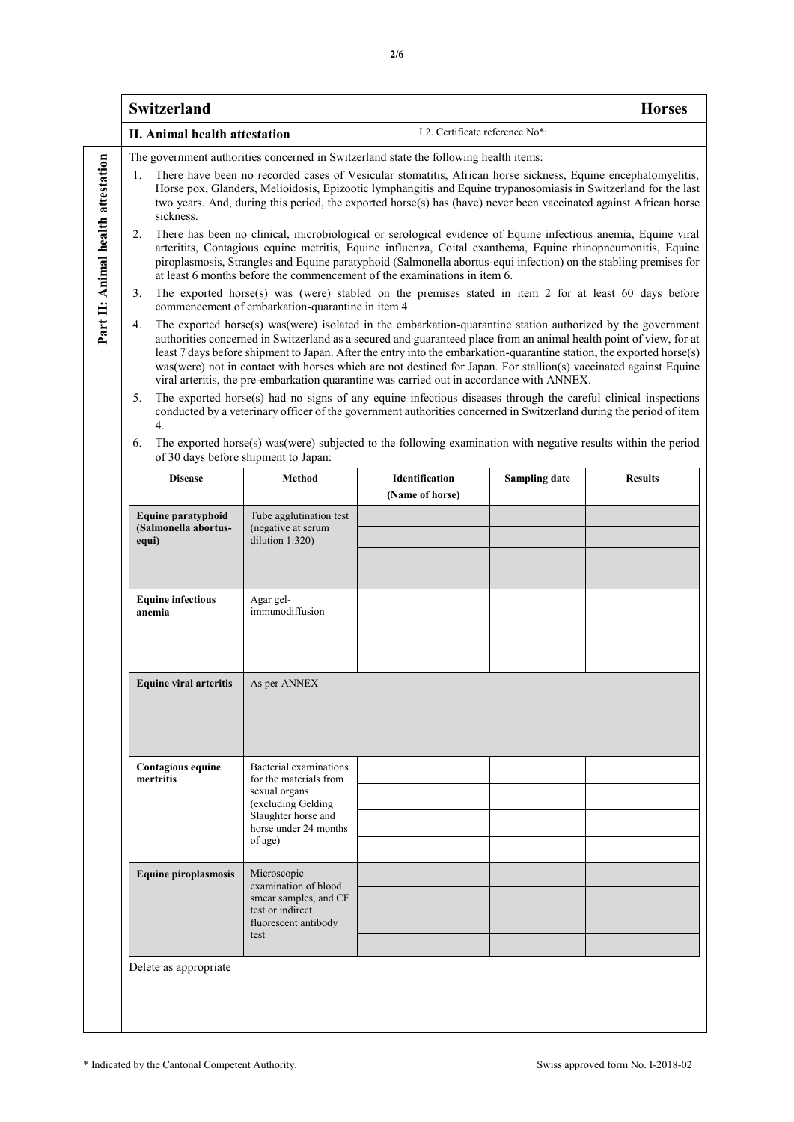|                                    | <b>Switzerland</b>                                                                        |                                                                                                                                                    | <b>Horses</b><br>I.2. Certificate reference No*:                                                                                                                                                                                                                                                                                                                                                                                                                                                                                                                                                                                                                                                                                                                                                                                                                                                                                                                                                                                                                                                                                                                                                                                                                                                                                                                                                                                                                                                                                                                                                                                                                                                                                                                                                                                                                                                                                 |                                          |                      |                |  |
|------------------------------------|-------------------------------------------------------------------------------------------|----------------------------------------------------------------------------------------------------------------------------------------------------|----------------------------------------------------------------------------------------------------------------------------------------------------------------------------------------------------------------------------------------------------------------------------------------------------------------------------------------------------------------------------------------------------------------------------------------------------------------------------------------------------------------------------------------------------------------------------------------------------------------------------------------------------------------------------------------------------------------------------------------------------------------------------------------------------------------------------------------------------------------------------------------------------------------------------------------------------------------------------------------------------------------------------------------------------------------------------------------------------------------------------------------------------------------------------------------------------------------------------------------------------------------------------------------------------------------------------------------------------------------------------------------------------------------------------------------------------------------------------------------------------------------------------------------------------------------------------------------------------------------------------------------------------------------------------------------------------------------------------------------------------------------------------------------------------------------------------------------------------------------------------------------------------------------------------------|------------------------------------------|----------------------|----------------|--|
|                                    | II. Animal health attestation                                                             |                                                                                                                                                    |                                                                                                                                                                                                                                                                                                                                                                                                                                                                                                                                                                                                                                                                                                                                                                                                                                                                                                                                                                                                                                                                                                                                                                                                                                                                                                                                                                                                                                                                                                                                                                                                                                                                                                                                                                                                                                                                                                                                  |                                          |                      |                |  |
| Part II: Animal health attestation | 1.<br>sickness.<br>2.<br>3.<br>4.<br>5.<br>4.<br>6.                                       | commencement of embarkation-quarantine in item 4.<br>of 30 days before shipment to Japan:                                                          | The government authorities concerned in Switzerland state the following health items:<br>There have been no recorded cases of Vesicular stomatitis, African horse sickness, Equine encephalomyelitis,<br>Horse pox, Glanders, Melioidosis, Epizootic lymphangitis and Equine trypanosomiasis in Switzerland for the last<br>two years. And, during this period, the exported horse(s) has (have) never been vaccinated against African horse<br>There has been no clinical, microbiological or serological evidence of Equine infectious anemia, Equine viral<br>arteritits, Contagious equine metritis, Equine influenza, Coital exanthema, Equine rhinopneumonitis, Equine<br>piroplasmosis, Strangles and Equine paratyphoid (Salmonella abortus-equi infection) on the stabling premises for<br>at least 6 months before the commencement of the examinations in item 6.<br>The exported horse(s) was (were) stabled on the premises stated in item 2 for at least 60 days before<br>The exported horse(s) was (were) isolated in the embarkation-quarantine station authorized by the government<br>authorities concerned in Switzerland as a secured and guaranteed place from an animal health point of view, for at<br>least 7 days before shipment to Japan. After the entry into the embarkation-quarantine station, the exported horse(s)<br>was (were) not in contact with horses which are not destined for Japan. For stallion(s) vaccinated against Equine<br>viral arteritis, the pre-embarkation quarantine was carried out in accordance with ANNEX.<br>The exported horse(s) had no signs of any equine infectious diseases through the careful clinical inspections<br>conducted by a veterinary officer of the government authorities concerned in Switzerland during the period of item<br>The exported horse(s) was (were) subjected to the following examination with negative results within the period |                                          |                      |                |  |
|                                    | <b>Disease</b>                                                                            | <b>Method</b>                                                                                                                                      |                                                                                                                                                                                                                                                                                                                                                                                                                                                                                                                                                                                                                                                                                                                                                                                                                                                                                                                                                                                                                                                                                                                                                                                                                                                                                                                                                                                                                                                                                                                                                                                                                                                                                                                                                                                                                                                                                                                                  | <b>Identification</b><br>(Name of horse) | <b>Sampling date</b> | <b>Results</b> |  |
|                                    | Equine paratyphoid<br>(Salmonella abortus-<br>equi)<br><b>Equine infectious</b><br>anemia | Tube agglutination test<br>(negative at serum<br>dilution 1:320)<br>Agar gel-<br>immunodiffusion                                                   |                                                                                                                                                                                                                                                                                                                                                                                                                                                                                                                                                                                                                                                                                                                                                                                                                                                                                                                                                                                                                                                                                                                                                                                                                                                                                                                                                                                                                                                                                                                                                                                                                                                                                                                                                                                                                                                                                                                                  |                                          |                      |                |  |
|                                    | <b>Equine viral arteritis</b>                                                             | As per ANNEX                                                                                                                                       |                                                                                                                                                                                                                                                                                                                                                                                                                                                                                                                                                                                                                                                                                                                                                                                                                                                                                                                                                                                                                                                                                                                                                                                                                                                                                                                                                                                                                                                                                                                                                                                                                                                                                                                                                                                                                                                                                                                                  |                                          |                      |                |  |
|                                    | Contagious equine<br>mertritis                                                            | Bacterial examinations<br>for the materials from<br>sexual organs<br>(excluding Gelding<br>Slaughter horse and<br>horse under 24 months<br>of age) |                                                                                                                                                                                                                                                                                                                                                                                                                                                                                                                                                                                                                                                                                                                                                                                                                                                                                                                                                                                                                                                                                                                                                                                                                                                                                                                                                                                                                                                                                                                                                                                                                                                                                                                                                                                                                                                                                                                                  |                                          |                      |                |  |
|                                    | <b>Equine piroplasmosis</b>                                                               | Microscopic<br>examination of blood<br>smear samples, and CF<br>test or indirect<br>fluorescent antibody<br>test                                   |                                                                                                                                                                                                                                                                                                                                                                                                                                                                                                                                                                                                                                                                                                                                                                                                                                                                                                                                                                                                                                                                                                                                                                                                                                                                                                                                                                                                                                                                                                                                                                                                                                                                                                                                                                                                                                                                                                                                  |                                          |                      |                |  |
|                                    | Delete as appropriate                                                                     |                                                                                                                                                    |                                                                                                                                                                                                                                                                                                                                                                                                                                                                                                                                                                                                                                                                                                                                                                                                                                                                                                                                                                                                                                                                                                                                                                                                                                                                                                                                                                                                                                                                                                                                                                                                                                                                                                                                                                                                                                                                                                                                  |                                          |                      |                |  |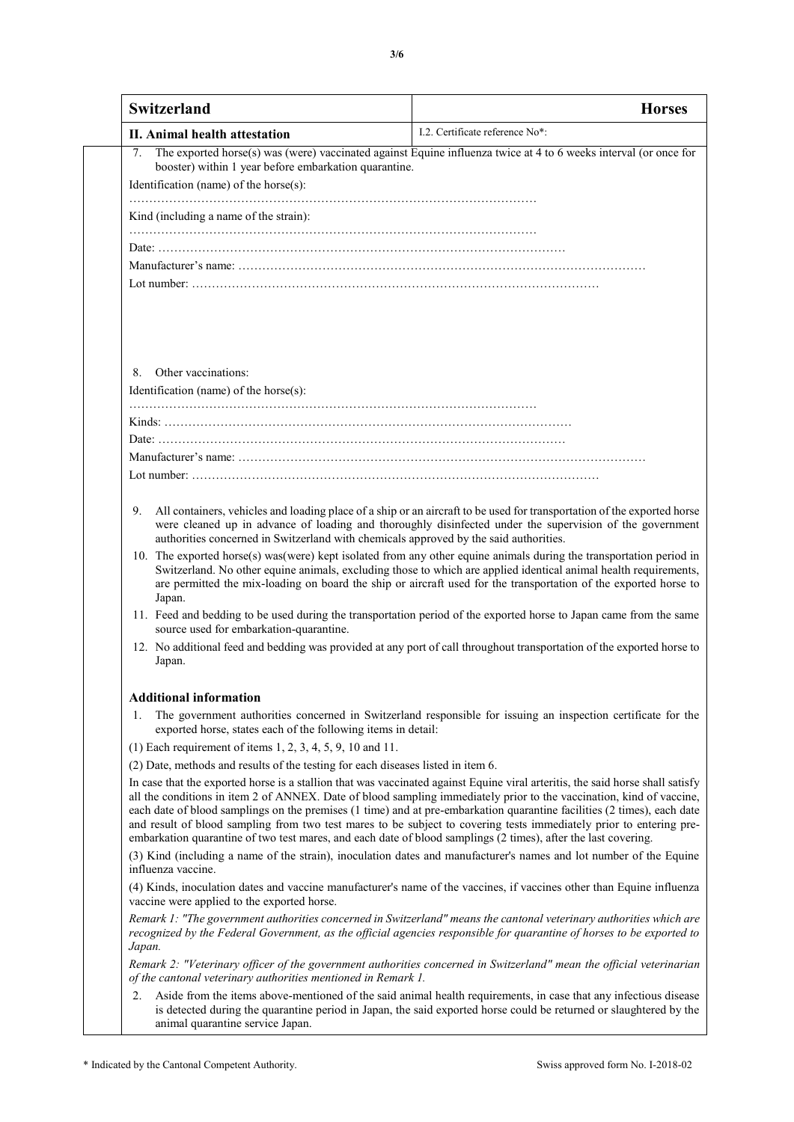| Switzerland                                                                                                                      | <b>Horses</b>                                                                                                                                                                                                                                                                                                                                                                                                                                                                                                                                                                                                              |  |  |  |  |  |
|----------------------------------------------------------------------------------------------------------------------------------|----------------------------------------------------------------------------------------------------------------------------------------------------------------------------------------------------------------------------------------------------------------------------------------------------------------------------------------------------------------------------------------------------------------------------------------------------------------------------------------------------------------------------------------------------------------------------------------------------------------------------|--|--|--|--|--|
| II. Animal health attestation                                                                                                    | I.2. Certificate reference No*:                                                                                                                                                                                                                                                                                                                                                                                                                                                                                                                                                                                            |  |  |  |  |  |
| 7.                                                                                                                               | The exported horse(s) was (were) vaccinated against Equine influenza twice at 4 to 6 weeks interval (or once for                                                                                                                                                                                                                                                                                                                                                                                                                                                                                                           |  |  |  |  |  |
| booster) within 1 year before embarkation quarantine.                                                                            |                                                                                                                                                                                                                                                                                                                                                                                                                                                                                                                                                                                                                            |  |  |  |  |  |
| Identification (name) of the horse(s):                                                                                           |                                                                                                                                                                                                                                                                                                                                                                                                                                                                                                                                                                                                                            |  |  |  |  |  |
| Kind (including a name of the strain):                                                                                           |                                                                                                                                                                                                                                                                                                                                                                                                                                                                                                                                                                                                                            |  |  |  |  |  |
|                                                                                                                                  |                                                                                                                                                                                                                                                                                                                                                                                                                                                                                                                                                                                                                            |  |  |  |  |  |
|                                                                                                                                  |                                                                                                                                                                                                                                                                                                                                                                                                                                                                                                                                                                                                                            |  |  |  |  |  |
|                                                                                                                                  |                                                                                                                                                                                                                                                                                                                                                                                                                                                                                                                                                                                                                            |  |  |  |  |  |
|                                                                                                                                  |                                                                                                                                                                                                                                                                                                                                                                                                                                                                                                                                                                                                                            |  |  |  |  |  |
|                                                                                                                                  |                                                                                                                                                                                                                                                                                                                                                                                                                                                                                                                                                                                                                            |  |  |  |  |  |
|                                                                                                                                  |                                                                                                                                                                                                                                                                                                                                                                                                                                                                                                                                                                                                                            |  |  |  |  |  |
|                                                                                                                                  |                                                                                                                                                                                                                                                                                                                                                                                                                                                                                                                                                                                                                            |  |  |  |  |  |
| Other vaccinations:<br>8.                                                                                                        |                                                                                                                                                                                                                                                                                                                                                                                                                                                                                                                                                                                                                            |  |  |  |  |  |
| Identification (name) of the horse(s):                                                                                           |                                                                                                                                                                                                                                                                                                                                                                                                                                                                                                                                                                                                                            |  |  |  |  |  |
|                                                                                                                                  |                                                                                                                                                                                                                                                                                                                                                                                                                                                                                                                                                                                                                            |  |  |  |  |  |
|                                                                                                                                  |                                                                                                                                                                                                                                                                                                                                                                                                                                                                                                                                                                                                                            |  |  |  |  |  |
|                                                                                                                                  |                                                                                                                                                                                                                                                                                                                                                                                                                                                                                                                                                                                                                            |  |  |  |  |  |
|                                                                                                                                  |                                                                                                                                                                                                                                                                                                                                                                                                                                                                                                                                                                                                                            |  |  |  |  |  |
|                                                                                                                                  |                                                                                                                                                                                                                                                                                                                                                                                                                                                                                                                                                                                                                            |  |  |  |  |  |
| 9.<br>authorities concerned in Switzerland with chemicals approved by the said authorities.                                      | All containers, vehicles and loading place of a ship or an aircraft to be used for transportation of the exported horse<br>were cleaned up in advance of loading and thoroughly disinfected under the supervision of the government                                                                                                                                                                                                                                                                                                                                                                                        |  |  |  |  |  |
| Japan.                                                                                                                           | 10. The exported horse(s) was(were) kept isolated from any other equine animals during the transportation period in<br>Switzerland. No other equine animals, excluding those to which are applied identical animal health requirements,<br>are permitted the mix-loading on board the ship or aircraft used for the transportation of the exported horse to                                                                                                                                                                                                                                                                |  |  |  |  |  |
| source used for embarkation-quarantine.                                                                                          | 11. Feed and bedding to be used during the transportation period of the exported horse to Japan came from the same                                                                                                                                                                                                                                                                                                                                                                                                                                                                                                         |  |  |  |  |  |
| 12. No additional feed and bedding was provided at any port of call throughout transportation of the exported horse to<br>Japan. |                                                                                                                                                                                                                                                                                                                                                                                                                                                                                                                                                                                                                            |  |  |  |  |  |
| <b>Additional information</b>                                                                                                    |                                                                                                                                                                                                                                                                                                                                                                                                                                                                                                                                                                                                                            |  |  |  |  |  |
| 1.<br>exported horse, states each of the following items in detail:                                                              | The government authorities concerned in Switzerland responsible for issuing an inspection certificate for the                                                                                                                                                                                                                                                                                                                                                                                                                                                                                                              |  |  |  |  |  |
| (1) Each requirement of items 1, 2, 3, 4, 5, 9, 10 and 11.                                                                       |                                                                                                                                                                                                                                                                                                                                                                                                                                                                                                                                                                                                                            |  |  |  |  |  |
| (2) Date, methods and results of the testing for each diseases listed in item 6.                                                 |                                                                                                                                                                                                                                                                                                                                                                                                                                                                                                                                                                                                                            |  |  |  |  |  |
|                                                                                                                                  | In case that the exported horse is a stallion that was vaccinated against Equine viral arteritis, the said horse shall satisfy<br>all the conditions in item 2 of ANNEX. Date of blood sampling immediately prior to the vaccination, kind of vaccine,<br>each date of blood samplings on the premises (1 time) and at pre-embarkation quarantine facilities (2 times), each date<br>and result of blood sampling from two test mares to be subject to covering tests immediately prior to entering pre-<br>embarkation quarantine of two test mares, and each date of blood samplings (2 times), after the last covering. |  |  |  |  |  |
| influenza vaccine.                                                                                                               | (3) Kind (including a name of the strain), inoculation dates and manufacturer's names and lot number of the Equine                                                                                                                                                                                                                                                                                                                                                                                                                                                                                                         |  |  |  |  |  |
| vaccine were applied to the exported horse.                                                                                      | (4) Kinds, inoculation dates and vaccine manufacturer's name of the vaccines, if vaccines other than Equine influenza                                                                                                                                                                                                                                                                                                                                                                                                                                                                                                      |  |  |  |  |  |
| Japan.                                                                                                                           | Remark 1: "The government authorities concerned in Switzerland" means the cantonal veterinary authorities which are<br>recognized by the Federal Government, as the official agencies responsible for quarantine of horses to be exported to                                                                                                                                                                                                                                                                                                                                                                               |  |  |  |  |  |
| of the cantonal veterinary authorities mentioned in Remark 1.                                                                    | Remark 2: "Veterinary officer of the government authorities concerned in Switzerland" mean the official veterinarian                                                                                                                                                                                                                                                                                                                                                                                                                                                                                                       |  |  |  |  |  |
| 2.<br>animal quarantine service Japan.                                                                                           | Aside from the items above-mentioned of the said animal health requirements, in case that any infectious disease<br>is detected during the quarantine period in Japan, the said exported horse could be returned or slaughtered by the                                                                                                                                                                                                                                                                                                                                                                                     |  |  |  |  |  |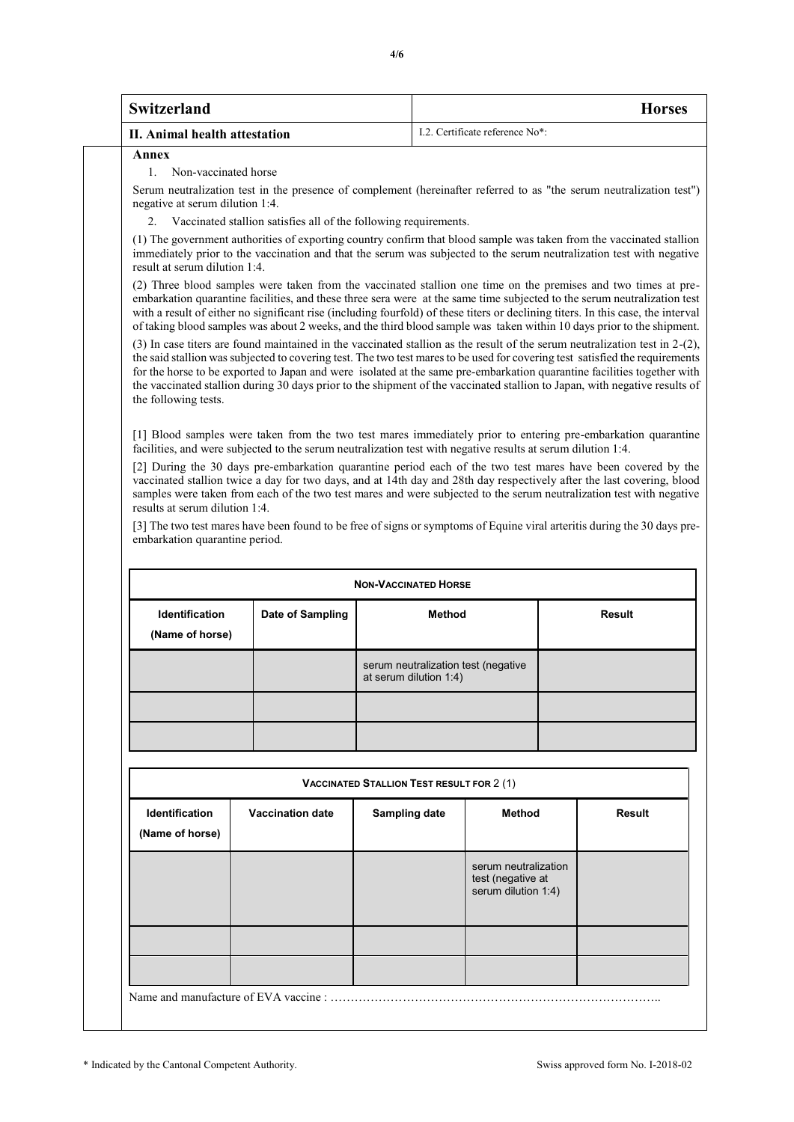| Switzerland                   | <b>Horses</b>                                            |
|-------------------------------|----------------------------------------------------------|
| II. Animal health attestation | L <sub>2</sub> . Certificate reference No <sup>*</sup> : |

**Annex**

## 1. Non-vaccinated horse

Serum neutralization test in the presence of complement (hereinafter referred to as "the serum neutralization test") negative at serum dilution 1:4.

Vaccinated stallion satisfies all of the following requirements.

(1) The government authorities of exporting country confirm that blood sample was taken from the vaccinated stallion immediately prior to the vaccination and that the serum was subjected to the serum neutralization test with negative result at serum dilution 1:4.

(2) Three blood samples were taken from the vaccinated stallion one time on the premises and two times at preembarkation quarantine facilities, and these three sera were at the same time subjected to the serum neutralization test with a result of either no significant rise (including fourfold) of these titers or declining titers. In this case, the interval of taking blood samples was about 2 weeks, and the third blood sample was taken within 10 days prior to the shipment.

(3) In case titers are found maintained in the vaccinated stallion as the result of the serum neutralization test in 2-(2), the said stallion was subjected to covering test. The two test mares to be used for covering test satisfied the requirements for the horse to be exported to Japan and were isolated at the same pre-embarkation quarantine facilities together with the vaccinated stallion during 30 days prior to the shipment of the vaccinated stallion to Japan, with negative results of the following tests.

[1] Blood samples were taken from the two test mares immediately prior to entering pre-embarkation quarantine facilities, and were subjected to the serum neutralization test with negative results at serum dilution 1:4.

[2] During the 30 days pre-embarkation quarantine period each of the two test mares have been covered by the vaccinated stallion twice a day for two days, and at 14th day and 28th day respectively after the last covering, blood samples were taken from each of the two test mares and were subjected to the serum neutralization test with negative results at serum dilution 1:4.

[3] The two test mares have been found to be free of signs or symptoms of Equine viral arteritis during the 30 days preembarkation quarantine period.

| <b>NON-VACCINATED HORSE</b>                                  |  |                                                               |        |  |  |  |  |
|--------------------------------------------------------------|--|---------------------------------------------------------------|--------|--|--|--|--|
| <b>Identification</b><br>Date of Sampling<br>(Name of horse) |  | <b>Method</b>                                                 | Result |  |  |  |  |
|                                                              |  | serum neutralization test (negative<br>at serum dilution 1:4) |        |  |  |  |  |
|                                                              |  |                                                               |        |  |  |  |  |
|                                                              |  |                                                               |        |  |  |  |  |

| <b>VACCINATED STALLION TEST RESULT FOR 2(1)</b> |                         |                      |                                                                  |               |  |  |  |  |
|-------------------------------------------------|-------------------------|----------------------|------------------------------------------------------------------|---------------|--|--|--|--|
| <b>Identification</b><br>(Name of horse)        | <b>Vaccination date</b> | <b>Sampling date</b> | <b>Method</b>                                                    | <b>Result</b> |  |  |  |  |
|                                                 |                         |                      | serum neutralization<br>test (negative at<br>serum dilution 1:4) |               |  |  |  |  |
|                                                 |                         |                      |                                                                  |               |  |  |  |  |
| Name and manufacture of EVA vaccine :           |                         |                      |                                                                  |               |  |  |  |  |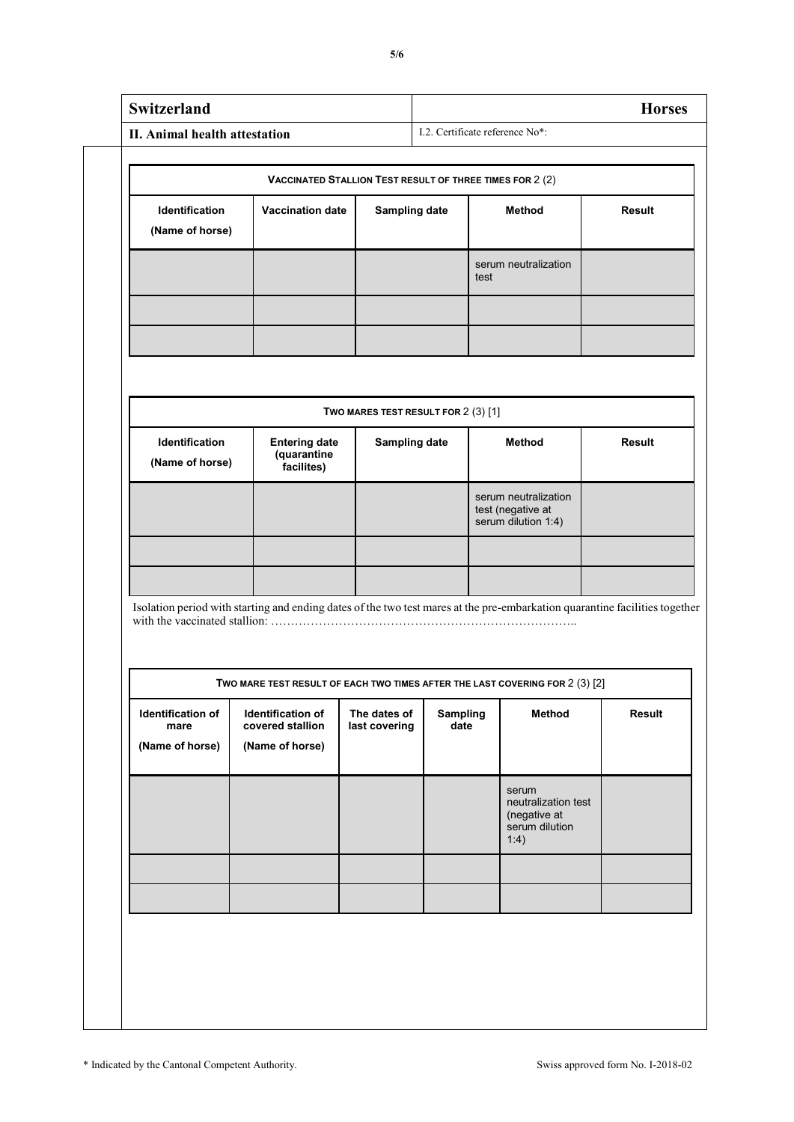|                                                              | II. Animal health attestation                                                                                                            |                                     |                  |        | I.2. Certificate reference No*:                                        | <b>Horses</b> |
|--------------------------------------------------------------|------------------------------------------------------------------------------------------------------------------------------------------|-------------------------------------|------------------|--------|------------------------------------------------------------------------|---------------|
|                                                              |                                                                                                                                          |                                     |                  |        |                                                                        |               |
|                                                              | <b>VACCINATED STALLION TEST RESULT OF THREE TIMES FOR 2 (2)</b>                                                                          |                                     |                  |        |                                                                        |               |
| Identification<br><b>Vaccination date</b><br>(Name of horse) |                                                                                                                                          | <b>Sampling date</b>                |                  | Method |                                                                        | <b>Result</b> |
|                                                              |                                                                                                                                          |                                     |                  | test   | serum neutralization                                                   |               |
|                                                              |                                                                                                                                          |                                     |                  |        |                                                                        |               |
|                                                              |                                                                                                                                          | TWO MARES TEST RESULT FOR 2 (3) [1] |                  |        |                                                                        |               |
| Identification<br>(Name of horse)                            | <b>Entering date</b><br>(quarantine<br>facilites)                                                                                        | <b>Sampling date</b>                |                  |        | <b>Method</b>                                                          | <b>Result</b> |
|                                                              |                                                                                                                                          |                                     |                  |        | serum neutralization<br>test (negative at<br>serum dilution 1:4)       |               |
|                                                              |                                                                                                                                          |                                     |                  |        |                                                                        |               |
|                                                              | Isolation period with starting and ending dates of the two test mares at the pre-embarkation quarantine facilities together              |                                     |                  |        |                                                                        |               |
|                                                              |                                                                                                                                          |                                     |                  |        |                                                                        |               |
|                                                              |                                                                                                                                          |                                     |                  |        |                                                                        |               |
| Identification of<br>mare<br>(Name of horse)                 | TWO MARE TEST RESULT OF EACH TWO TIMES AFTER THE LAST COVERING FOR $2(3)[2]$<br>Identification of<br>covered stallion<br>(Name of horse) | The dates of<br>last covering       | Sampling<br>date |        | Method                                                                 | Result        |
|                                                              |                                                                                                                                          |                                     |                  |        | serum<br>neutralization test<br>(negative at<br>serum dilution<br>1:4) |               |
|                                                              |                                                                                                                                          |                                     |                  |        |                                                                        |               |
|                                                              |                                                                                                                                          |                                     |                  |        |                                                                        |               |